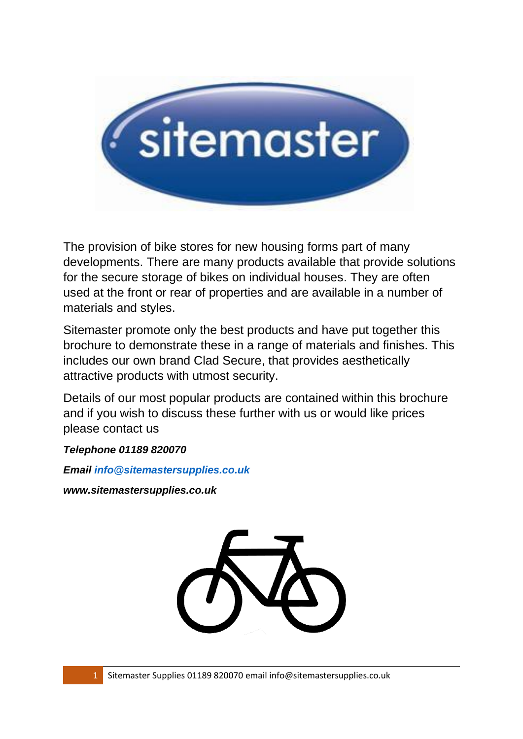

The provision of bike stores for new housing forms part of many developments. There are many products available that provide solutions for the secure storage of bikes on individual houses. They are often used at the front or rear of properties and are available in a number of materials and styles.

Sitemaster promote only the best products and have put together this brochure to demonstrate these in a range of materials and finishes. This includes our own brand Clad Secure, that provides aesthetically attractive products with utmost security.

Details of our most popular products are contained within this brochure and if you wish to discuss these further with us or would like prices please contact us

*Telephone 01189 820070*

*Email [info@sitemastersupplies.co.uk](mailto:info@sitemastersupplies.co.uk)*

*www.sitemastersupplies.co.uk*

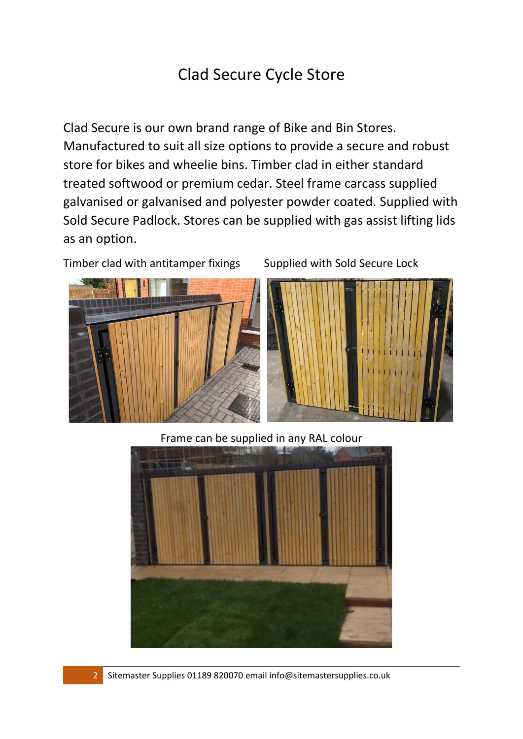# Clad Secure Cycle Store

Clad Secure is our own brand range of Bike and Bin Stores. Manufactured to suit all size options to provide a secure and robust store for bikes and wheelie bins. Timber clad in either standard treated softwood or premium cedar. Steel frame carcass supplied galvanised or galvanised and polyester powder coated. Supplied with Sold Secure Padlock. Stores can be supplied with gas assist lifting lids as an option.

Timber clad with antitamper fixings Supplied with Sold Secure Lock





Frame can be supplied in any RAL colour



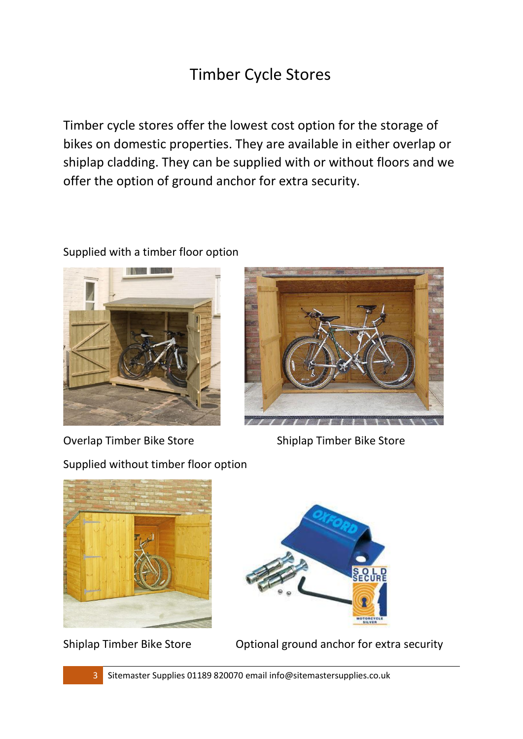# Timber Cycle Stores

Timber cycle stores offer the lowest cost option for the storage of bikes on domestic properties. They are available in either overlap or shiplap cladding. They can be supplied with or without floors and we offer the option of ground anchor for extra security.

#### Supplied with a timber floor option



Overlap Timber Bike Store Shiplap Timber Bike Store

Supplied without timber floor option







Shiplap Timber Bike Store Optional ground anchor for extra security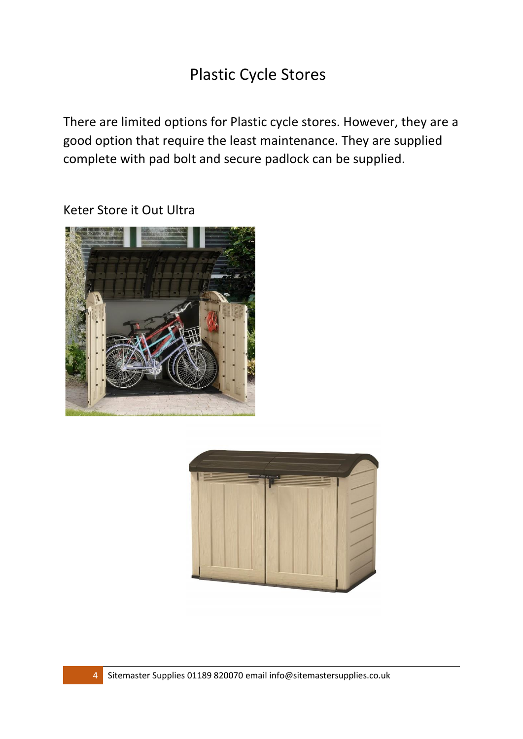### Plastic Cycle Stores

There are limited options for Plastic cycle stores. However, they are a good option that require the least maintenance. They are supplied complete with pad bolt and secure padlock can be supplied.

Keter Store it Out Ultra



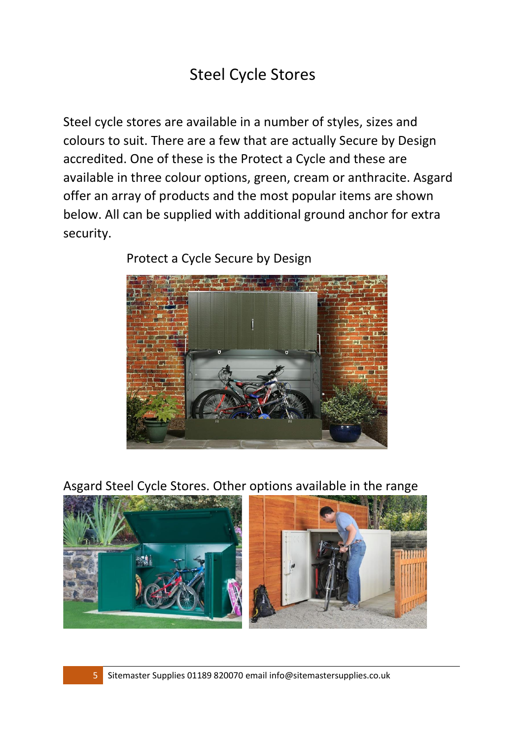## Steel Cycle Stores

Steel cycle stores are available in a number of styles, sizes and colours to suit. There are a few that are actually Secure by Design accredited. One of these is the Protect a Cycle and these are available in three colour options, green, cream or anthracite. Asgard offer an array of products and the most popular items are shown below. All can be supplied with additional ground anchor for extra security.



Protect a Cycle Secure by Design

Asgard Steel Cycle Stores. Other options available in the range

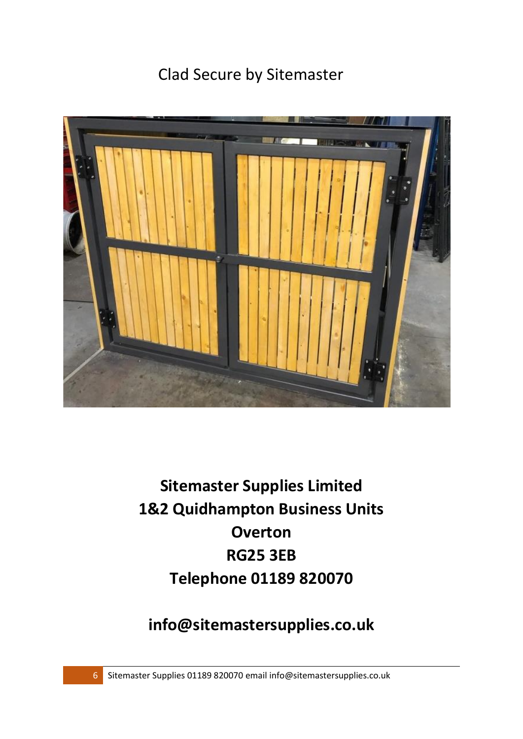## Clad Secure by Sitemaster



**Sitemaster Supplies Limited 1&2 Quidhampton Business Units Overton RG25 3EB Telephone 01189 820070**

**[info@sitemastersupplies.co.uk](mailto:info@sitemastersupplies.co.uk)**